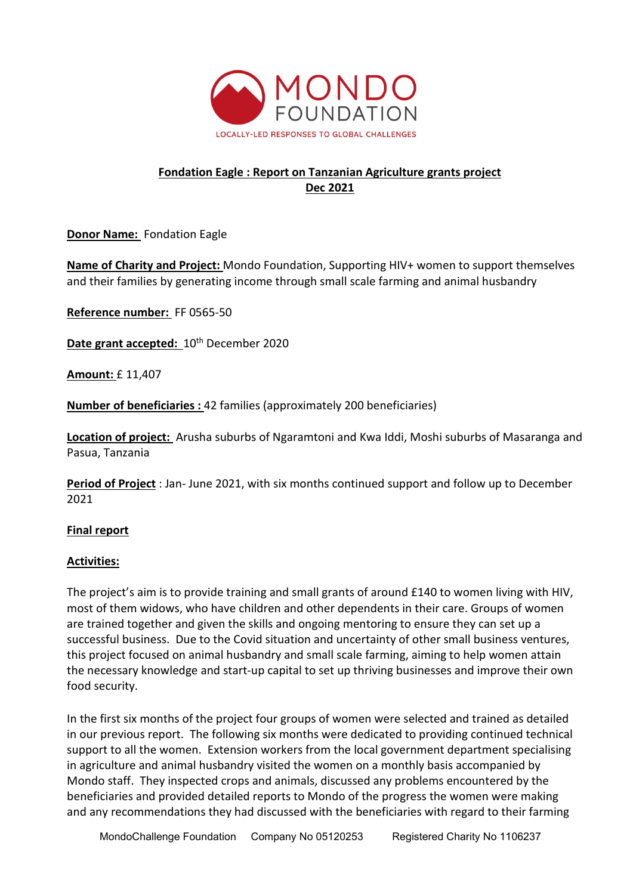

# **Fondation Eagle : Report on Tanzanian Agriculture grants project Dec 2021**

**Donor Name:** Fondation Eagle

**Name of Charity and Project:** Mondo Foundation, Supporting HIV+ women to support themselves and their families by generating income through small scale farming and animal husbandry

**Reference number:** FF 0565-50

**Date grant accepted:**  $10^{th}$  December 2020

**Amount:** £ 11,407

**Number of beneficiaries :** 42 families (approximately 200 beneficiaries)

**Location of project:** Arusha suburbs of Ngaramtoni and Kwa Iddi, Moshi suburbs of Masaranga and Pasua, Tanzania

**Period of Project** : Jan- June 2021, with six months continued support and follow up to December 2021

## **Final report**

## **Activities:**

The project's aim is to provide training and small grants of around £140 to women living with HIV, most of them widows, who have children and other dependents in their care. Groups of women are trained together and given the skills and ongoing mentoring to ensure they can set up a successful business. Due to the Covid situation and uncertainty of other small business ventures, this project focused on animal husbandry and small scale farming, aiming to help women attain the necessary knowledge and start-up capital to set up thriving businesses and improve their own food security.

In the first six months of the project four groups of women were selected and trained as detailed in our previous report. The following six months were dedicated to providing continued technical support to all the women. Extension workers from the local government department specialising in agriculture and animal husbandry visited the women on a monthly basis accompanied by Mondo staff. They inspected crops and animals, discussed any problems encountered by the beneficiaries and provided detailed reports to Mondo of the progress the women were making and any recommendations they had discussed with the beneficiaries with regard to their farming

MondoChallenge Foundation Company No 05120253 Registered Charity No 1106237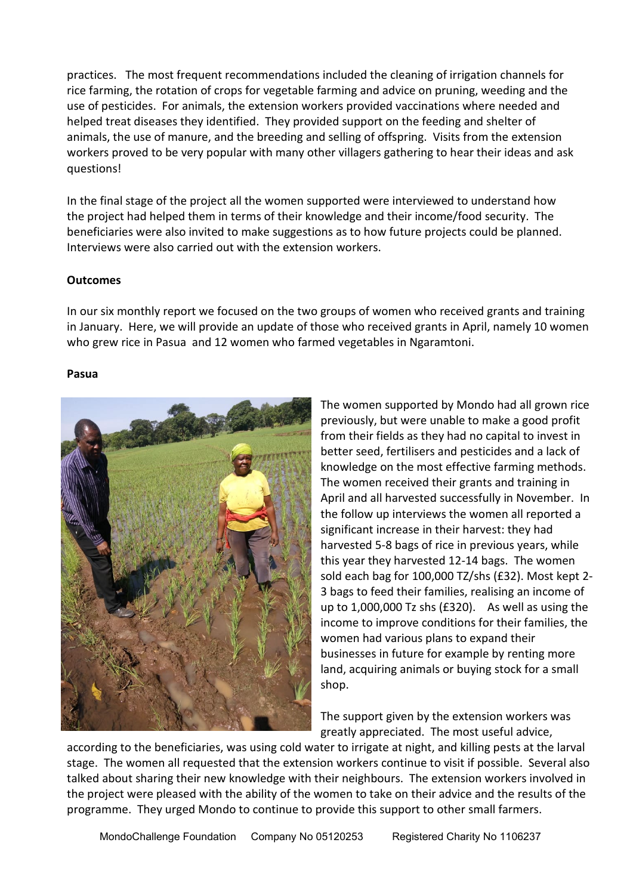practices. The most frequent recommendations included the cleaning of irrigation channels for rice farming, the rotation of crops for vegetable farming and advice on pruning, weeding and the use of pesticides. For animals, the extension workers provided vaccinations where needed and helped treat diseases they identified. They provided support on the feeding and shelter of animals, the use of manure, and the breeding and selling of offspring. Visits from the extension workers proved to be very popular with many other villagers gathering to hear their ideas and ask questions!

In the final stage of the project all the women supported were interviewed to understand how the project had helped them in terms of their knowledge and their income/food security. The beneficiaries were also invited to make suggestions as to how future projects could be planned. Interviews were also carried out with the extension workers.

## **Outcomes**

In our six monthly report we focused on the two groups of women who received grants and training in January. Here, we will provide an update of those who received grants in April, namely 10 women who grew rice in Pasua and 12 women who farmed vegetables in Ngaramtoni.

#### **Pasua**



The women supported by Mondo had all grown rice previously, but were unable to make a good profit from their fields as they had no capital to invest in better seed, fertilisers and pesticides and a lack of knowledge on the most effective farming methods. The women received their grants and training in April and all harvested successfully in November. In the follow up interviews the women all reported a significant increase in their harvest: they had harvested 5-8 bags of rice in previous years, while this year they harvested 12-14 bags. The women sold each bag for 100,000 TZ/shs (£32). Most kept 2- 3 bags to feed their families, realising an income of up to 1,000,000 Tz shs (£320). As well as using the income to improve conditions for their families, the women had various plans to expand their businesses in future for example by renting more land, acquiring animals or buying stock for a small shop.

The support given by the extension workers was greatly appreciated. The most useful advice,

according to the beneficiaries, was using cold water to irrigate at night, and killing pests at the larval stage. The women all requested that the extension workers continue to visit if possible. Several also talked about sharing their new knowledge with their neighbours. The extension workers involved in the project were pleased with the ability of the women to take on their advice and the results of the programme. They urged Mondo to continue to provide this support to other small farmers.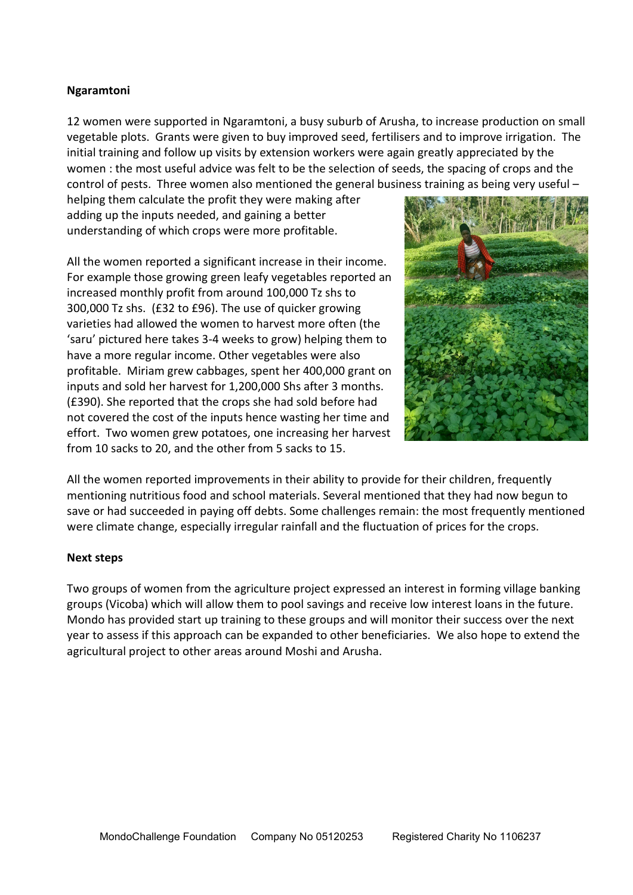## **Ngaramtoni**

12 women were supported in Ngaramtoni, a busy suburb of Arusha, to increase production on small vegetable plots. Grants were given to buy improved seed, fertilisers and to improve irrigation. The initial training and follow up visits by extension workers were again greatly appreciated by the women : the most useful advice was felt to be the selection of seeds, the spacing of crops and the control of pests. Three women also mentioned the general business training as being very useful –

helping them calculate the profit they were making after adding up the inputs needed, and gaining a better understanding of which crops were more profitable.

All the women reported a significant increase in their income. For example those growing green leafy vegetables reported an increased monthly profit from around 100,000 Tz shs to 300,000 Tz shs. (£32 to £96). The use of quicker growing varieties had allowed the women to harvest more often (the 'saru' pictured here takes 3-4 weeks to grow) helping them to have a more regular income. Other vegetables were also profitable. Miriam grew cabbages, spent her 400,000 grant on inputs and sold her harvest for 1,200,000 Shs after 3 months. (£390). She reported that the crops she had sold before had not covered the cost of the inputs hence wasting her time and effort. Two women grew potatoes, one increasing her harvest from 10 sacks to 20, and the other from 5 sacks to 15.



All the women reported improvements in their ability to provide for their children, frequently mentioning nutritious food and school materials. Several mentioned that they had now begun to save or had succeeded in paying off debts. Some challenges remain: the most frequently mentioned were climate change, especially irregular rainfall and the fluctuation of prices for the crops.

## **Next steps**

Two groups of women from the agriculture project expressed an interest in forming village banking groups (Vicoba) which will allow them to pool savings and receive low interest loans in the future. Mondo has provided start up training to these groups and will monitor their success over the next year to assess if this approach can be expanded to other beneficiaries. We also hope to extend the agricultural project to other areas around Moshi and Arusha.